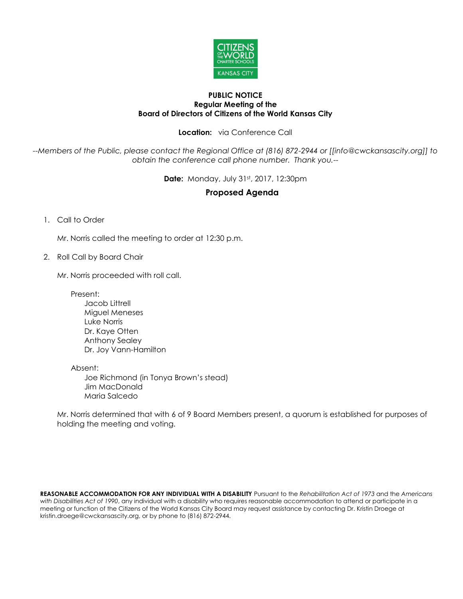

## **PUBLIC NOTICE Regular Meeting of the Board of Directors of Citizens of the World Kansas City**

**Location:** via Conference Call

*--Members of the Public, please contact the Regional Office at (816) 872-2944 or [[info@cwckansascity.org]] to obtain the conference call phone number. Thank you.--*

**Date:** Monday, July 31st, 2017, 12:30pm

## **Proposed Agenda**

1. Call to Order

Mr. Norris called the meeting to order at 12:30 p.m.

2. Roll Call by Board Chair

Mr. Norris proceeded with roll call.

Present:

Jacob Littrell Miguel Meneses Luke Norris Dr. Kaye Otten Anthony Sealey Dr. Joy Vann-Hamilton

Absent:

Joe Richmond (in Tonya Brown's stead) Jim MacDonald Maria Salcedo

Mr. Norris determined that with 6 of 9 Board Members present, a quorum is established for purposes of holding the meeting and voting.

**REASONABLE ACCOMMODATION FOR ANY INDIVIDUAL WITH A DISABILITY** Pursuant to the *Rehabilitation Act of 1973* and the *Americans with Disabilities Act of 1990*, any individual with a disability who requires reasonable accommodation to attend or participate in a meeting or function of the Citizens of the World Kansas City Board may request assistance by contacting Dr. Kristin Droege at kristin.droege@cwckansascity.org, or by phone to (816) 872-2944.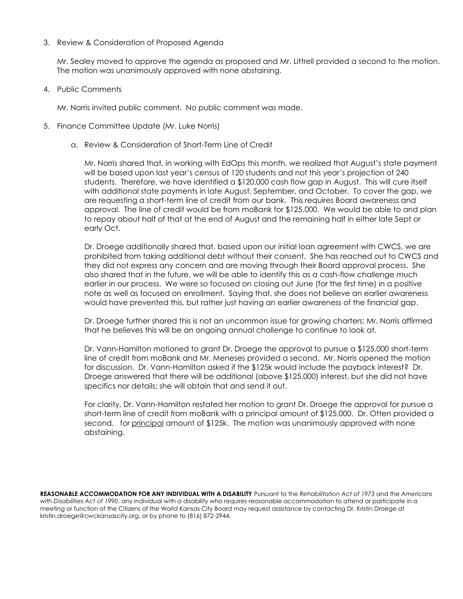## 3. Review & Consideration of Proposed Agenda

Mr. Sealey moved to approve the agenda as proposed and Mr. Littrell provided a second to the motion. The motion was unanimously approved with none abstaining.

4. Public Comments

Mr. Norris invited public comment. No public comment was made.

- 5. Finance Committee Update (Mr. Luke Norris)
	- a. Review & Consideration of Short-Term Line of Credit

Mr. Norris shared that, in working with EdOps this month, we realized that August's state payment will be based upon last year's census of 120 students and not this year's projection of 240 students. Therefore, we have identified a \$120,000 cash flow gap in August. This will cure itself with additional state payments in late August, September, and October. To cover the gap, we are requesting a short-term line of credit from our bank. This requires Board awareness and approval. The line of credit would be from moBank for \$125,000. We would be able to and plan to repay about half of that at the end of August and the remaining half in either late Sept or early Oct.

Dr. Droege additionally shared that, based upon our initial loan agreement with CWCS, we are prohibited from taking additional debt without their consent. She has reached out to CWCS and they did not express any concern and are moving through their Board approval process. She also shared that in the future, we will be able to identify this as a cash-flow challenge much earlier in our process. We were so focused on closing out June (for the first time) in a positive note as well as focused on enrollment. Saying that, she does not believe an earlier awareness would have prevented this, but rather just having an earlier awareness of the financial gap.

Dr. Droege further shared this is not an uncommon issue for growing charters; Mr. Norris affirmed that he believes this will be an ongoing annual challenge to continue to look at.

Dr. Vann-Hamilton motioned to grant Dr. Droege the approval to pursue a \$125,000 short-term line of credit from moBank and Mr. Meneses provided a second. Mr. Norris opened the motion for discussion. Dr. Vann-Hamilton asked if the \$125k would include the payback interest? Dr. Droege answered that there will be additional (above \$125,000) interest, but she did not have specifics nor details; she will obtain that and send it out.

For clarity, Dr. Vann-Hamilton restated her motion to grant Dr. Droege the approval for pursue a short-term line of credit from moBank with a principal amount of \$125,000. Dr. Otten provided a second. for principal amount of \$125k. The motion was unanimously approved with none abstaining.

**REASONABLE ACCOMMODATION FOR ANY INDIVIDUAL WITH A DISABILITY** Pursuant to the *Rehabilitation Act of 1973* and the *Americans with Disabilities Act of 1990*, any individual with a disability who requires reasonable accommodation to attend or participate in a meeting or function of the Citizens of the World Kansas City Board may request assistance by contacting Dr. Kristin Droege at kristin.droege@cwckansascity.org, or by phone to (816) 872-2944.